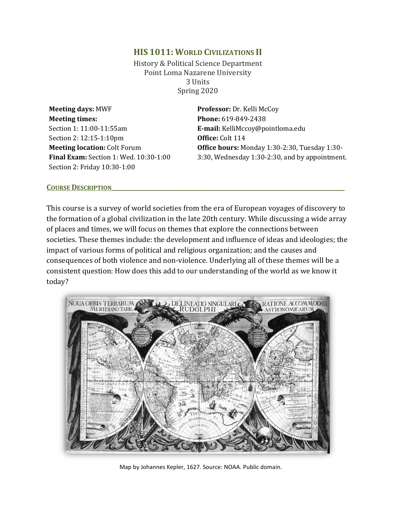# **HIS 1011: WORLD CIVILIZATIONS II**

History & Political Science Department Point Loma Nazarene University 3 Units Spring 2020

**Meeting days:** MWF **Professor:** Dr. Kelli McCoy **Meeting times:** Section 1: 11:00-11:55am Section 2: 12:15-1:10pm **Meeting location:** Colt Forum **Final Exam:** Section 1: Wed. 10:30-1:00 Section 2: Friday 10:30-1:00

**Phone:** 619-849-2438 **E-mail:** KelliMccoy@pointloma.edu **Office:** Colt 114 **Office hours:** Monday 1:30-2:30, Tuesday 1:30- 3:30, Wednesday 1:30-2:30, and by appointment.

#### **COURSE DESCRIPTION**

This course is a survey of world societies from the era of European voyages of discovery to the formation of a global civilization in the late 20th century. While discussing a wide array of places and times, we will focus on themes that explore the connections between societies. These themes include: the development and influence of ideas and ideologies; the impact of various forms of political and religious organization; and the causes and consequences of both violence and non-violence. Underlying all of these themes will be a consistent question: How does this add to our understanding of the world as we know it today?



Map by Johannes Kepler, 1627. Source: NOAA. Public domain.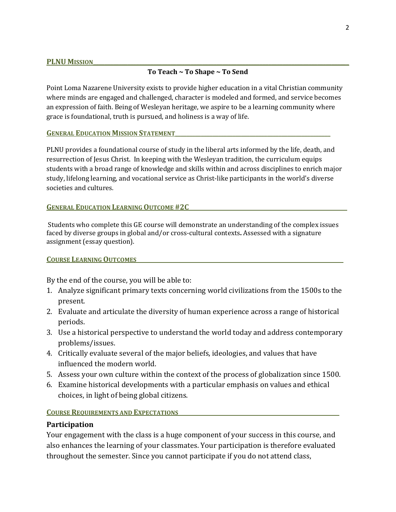# **To Teach ~ To Shape ~ To Send**

Point Loma Nazarene University exists to provide higher education in a vital Christian community where minds are engaged and challenged, character is modeled and formed, and service becomes an expression of faith. Being of Wesleyan heritage, we aspire to be a learning community where grace is foundational, truth is pursued, and holiness is a way of life.

## **GENERAL EDUCATION MISSION STATEMENT**

PLNU provides a foundational course of study in the liberal arts informed by the life, death, and resurrection of Jesus Christ. In keeping with the Wesleyan tradition, the curriculum equips students with a broad range of knowledge and skills within and across disciplines to enrich major study, lifelong learning, and vocational service as Christ-like participants in the world's diverse societies and cultures.

## **GENERAL EDUCATION LEARNING OUTCOME #2C**

Students who complete this GE course will demonstrate an understanding of the complex issues faced by diverse groups in global and/or cross-cultural contexts**.** Assessed with a signature assignment (essay question).

## **COURSE LEARNING OUTCOMES\_\_\_\_\_\_\_\_\_\_\_\_\_\_\_\_\_\_\_\_\_\_\_\_\_\_\_\_\_\_\_\_\_\_\_\_\_\_\_\_\_\_\_\_\_\_\_\_\_\_\_\_\_\_\_\_\_\_\_\_\_\_\_\_\_\_\_\_\_\_\_\_**

By the end of the course, you will be able to:

- 1. Analyze significant primary texts concerning world civilizations from the 1500s to the present.
- 2. Evaluate and articulate the diversity of human experience across a range of historical periods.
- 3. Use a historical perspective to understand the world today and address contemporary problems/issues.
- 4. Critically evaluate several of the major beliefs, ideologies, and values that have influenced the modern world.
- 5. Assess your own culture within the context of the process of globalization since 1500.
- 6. Examine historical developments with a particular emphasis on values and ethical choices, in light of being global citizens.

# **COURSE REQUIREMENTS AND EXPECTATIONS**

# **Participation**

Your engagement with the class is a huge component of your success in this course, and also enhances the learning of your classmates. Your participation is therefore evaluated throughout the semester. Since you cannot participate if you do not attend class,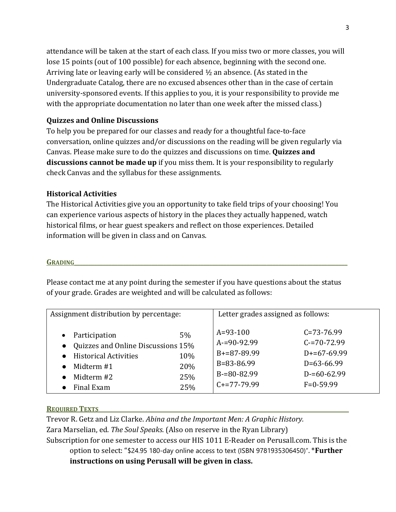attendance will be taken at the start of each class. If you miss two or more classes, you will lose 15 points (out of 100 possible) for each absence, beginning with the second one. Arriving late or leaving early will be considered  $\frac{1}{2}$  an absence. (As stated in the Undergraduate Catalog, there are no excused absences other than in the case of certain university-sponsored events. If this applies to you, it is your responsibility to provide me with the appropriate documentation no later than one week after the missed class.)

# **Quizzes and Online Discussions**

To help you be prepared for our classes and ready for a thoughtful face-to-face conversation, online quizzes and/or discussions on the reading will be given regularly via Canvas. Please make sure to do the quizzes and discussions on time. **Quizzes and discussions cannot be made up** if you miss them. It is your responsibility to regularly check Canvas and the syllabus for these assignments.

# **Historical Activities**

The Historical Activities give you an opportunity to take field trips of your choosing! You can experience various aspects of history in the places they actually happened, watch historical films, or hear guest speakers and reflect on those experiences. Detailed information will be given in class and on Canvas.

# **GRADING\_\_\_\_\_\_\_\_\_\_\_\_\_\_\_\_\_\_\_\_\_\_\_\_\_\_\_\_\_\_\_\_\_\_\_\_\_\_\_\_\_\_\_\_\_\_\_\_\_\_\_\_\_\_\_\_\_\_\_\_\_\_\_\_\_\_\_\_\_\_\_\_\_\_\_\_\_\_\_\_\_\_\_\_\_\_\_\_\_\_\_\_\_\_\_**

Please contact me at any point during the semester if you have questions about the status of your grade. Grades are weighted and will be calculated as follows:

| Assignment distribution by percentage:                                                                                                       |                                | Letter grades assigned as follows:                                                           |                                                                                                          |
|----------------------------------------------------------------------------------------------------------------------------------------------|--------------------------------|----------------------------------------------------------------------------------------------|----------------------------------------------------------------------------------------------------------|
| Participation<br>$\bullet$<br>• Quizzes and Online Discussions 15%<br><b>Historical Activities</b><br>Midterm #1<br>Midterm #2<br>Final Exam | 5%<br>10%<br>20%<br>25%<br>25% | $A=93-100$<br>$A=90-92.99$<br>$B+=87-89.99$<br>$B=83-86.99$<br>$B=80-82.99$<br>$C+=77-79.99$ | $C = 73 - 76.99$<br>$C = 70 - 72.99$<br>$D+=67-69.99$<br>$D=63-66.99$<br>$D = 60 - 62.99$<br>$F=0-59.99$ |

# **REQUIRED TEXTS**

Trevor R. Getz and Liz Clarke. *Abina and the Important Men: A Graphic History.*  Zara Marselian, ed. *The Soul Speaks*. (Also on reserve in the Ryan Library) Subscription for one semester to access our HIS 1011 E-Reader on Perusall.com. This is the option to select: "\$24.95 180-day online access to text (ISBN 9781935306450)". \***Further instructions on using Perusall will be given in class.**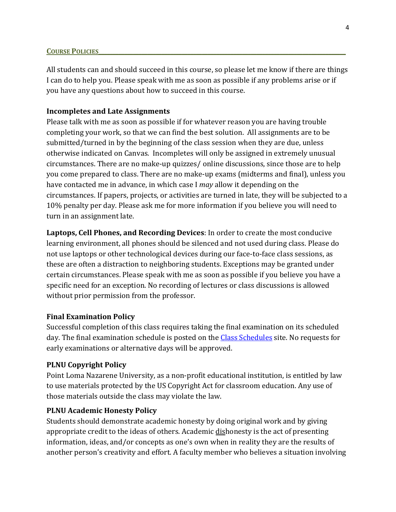#### **COURSE POLICIES**

All students can and should succeed in this course, so please let me know if there are things I can do to help you. Please speak with me as soon as possible if any problems arise or if you have any questions about how to succeed in this course.

## **Incompletes and Late Assignments**

Please talk with me as soon as possible if for whatever reason you are having trouble completing your work, so that we can find the best solution. All assignments are to be submitted/turned in by the beginning of the class session when they are due, unless otherwise indicated on Canvas. Incompletes will only be assigned in extremely unusual circumstances. There are no make-up quizzes/ online discussions, since those are to help you come prepared to class. There are no make-up exams (midterms and final), unless you have contacted me in advance, in which case I *may* allow it depending on the circumstances. If papers, projects, or activities are turned in late, they will be subjected to a 10% penalty per day. Please ask me for more information if you believe you will need to turn in an assignment late.

**Laptops, Cell Phones, and Recording Devices**: In order to create the most conducive learning environment, all phones should be silenced and not used during class. Please do not use laptops or other technological devices during our face-to-face class sessions, as these are often a distraction to neighboring students. Exceptions may be granted under certain circumstances. Please speak with me as soon as possible if you believe you have a specific need for an exception. No recording of lectures or class discussions is allowed without prior permission from the professor.

## **Final Examination Policy**

Successful completion of this class requires taking the final examination on its scheduled day. The final examination schedule is posted on the [Class Schedules](http://www.pointloma.edu/experience/academics/class-schedules) site. No requests for early examinations or alternative days will be approved.

## **PLNU Copyright Policy**

Point Loma Nazarene University, as a non-profit educational institution, is entitled by law to use materials protected by the US Copyright Act for classroom education. Any use of those materials outside the class may violate the law.

## **PLNU Academic Honesty Policy**

Students should demonstrate academic honesty by doing original work and by giving appropriate credit to the ideas of others. Academic dishonesty is the act of presenting information, ideas, and/or concepts as one's own when in reality they are the results of another person's creativity and effort. A faculty member who believes a situation involving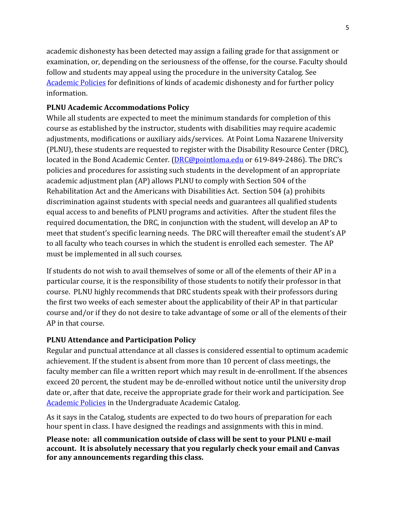academic dishonesty has been detected may assign a failing grade for that assignment or examination, or, depending on the seriousness of the offense, for the course. Faculty should follow and students may appeal using the procedure in the university Catalog. See [Academic Policies](http://catalog.pointloma.edu/content.php?catoid=18&navoid=1278) for definitions of kinds of academic dishonesty and for further policy information.

# **PLNU Academic Accommodations Policy**

While all students are expected to meet the minimum standards for completion of this course as established by the instructor, students with disabilities may require academic adjustments, modifications or auxiliary aids/services. At Point Loma Nazarene University (PLNU), these students are requested to register with the Disability Resource Center (DRC), located in the Bond Academic Center. [\(DRC@pointloma.edu](mailto:DRC@pointloma.edu) or 619-849-2486). The DRC's policies and procedures for assisting such students in the development of an appropriate academic adjustment plan (AP) allows PLNU to comply with Section 504 of the Rehabilitation Act and the Americans with Disabilities Act. Section 504 (a) prohibits discrimination against students with special needs and guarantees all qualified students equal access to and benefits of PLNU programs and activities. After the student files the required documentation, the DRC, in conjunction with the student, will develop an AP to meet that student's specific learning needs. The DRC will thereafter email the student's AP to all faculty who teach courses in which the student is enrolled each semester. The AP must be implemented in all such courses.

If students do not wish to avail themselves of some or all of the elements of their AP in a particular course, it is the responsibility of those students to notify their professor in that course. PLNU highly recommends that DRC students speak with their professors during the first two weeks of each semester about the applicability of their AP in that particular course and/or if they do not desire to take advantage of some or all of the elements of their AP in that course.

# **PLNU Attendance and Participation Policy**

Regular and punctual attendance at all classes is considered essential to optimum academic achievement. If the student is absent from more than 10 percent of class meetings, the faculty member can file a written report which may result in de-enrollment. If the absences exceed 20 percent, the student may be de-enrolled without notice until the university drop date or, after that date, receive the appropriate grade for their work and participation. See [Academic Policies](http://catalog.pointloma.edu/content.php?catoid=18&navoid=1278) in the Undergraduate Academic Catalog.

As it says in the Catalog, students are expected to do two hours of preparation for each hour spent in class. I have designed the readings and assignments with this in mind.

**Please note: all communication outside of class will be sent to your PLNU e-mail account. It is absolutely necessary that you regularly check your email and Canvas for any announcements regarding this class.**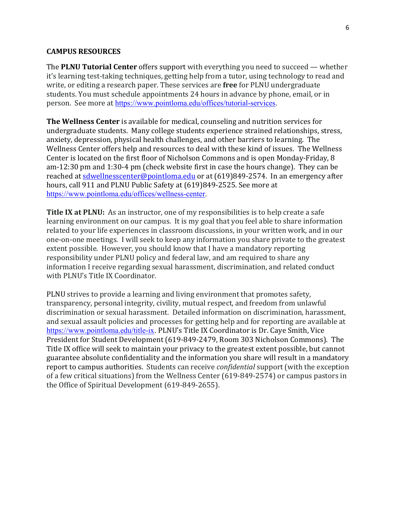#### **CAMPUS RESOURCES**

The **PLNU Tutorial Center** offers support with everything you need to succeed — whether it's learning test-taking techniques, getting help from a tutor, using technology to read and write, or editing a research paper. These services are **free** for PLNU undergraduate students. You must schedule appointments 24 hours in advance by phone, email, or in person. See more at [https://www.pointloma.edu/offices/tutorial-services.](https://www.pointloma.edu/offices/tutorial-services)

**The Wellness Center** is available for medical, counseling and nutrition services for undergraduate students. Many college students experience strained relationships, stress, anxiety, depression, physical health challenges, and other barriers to learning. The Wellness Center offers help and resources to deal with these kind of issues. The Wellness Center is located on the first floor of Nicholson Commons and is open Monday-Friday, 8 am-12:30 pm and 1:30-4 pm (check website first in case the hours change). They can be reached at [sdwellnesscenter@pointloma.edu](mailto:sdwellnesscenter@pointloma.edu) or at (619)849-2574. In an emergency after hours, call 911 and PLNU Public Safety at (619)849-2525. See more at [https://www.pointloma.edu/offices/wellness-center.](https://www.pointloma.edu/offices/wellness-center)

**Title IX at PLNU:** As an instructor, one of my responsibilities is to help create a safe learning environment on our campus. It is my goal that you feel able to share information related to your life experiences in classroom discussions, in your written work, and in our one-on-one meetings. I will seek to keep any information you share private to the greatest extent possible. However, you should know that I have a mandatory reporting responsibility under PLNU policy and federal law, and am required to share any information I receive regarding sexual harassment, discrimination, and related conduct with PLNU's Title IX Coordinator.

PLNU strives to provide a learning and living environment that promotes safety, transparency, personal integrity, civility, mutual respect, and freedom from unlawful discrimination or sexual harassment. Detailed information on discrimination, harassment, and sexual assault policies and processes for getting help and for reporting are available at [https://www.pointloma.edu/title-ix.](https://www.pointloma.edu/title-ix) PLNU's Title IX Coordinator is Dr. Caye Smith, Vice President for Student Development (619-849-2479, Room 303 Nicholson Commons). The Title IX office will seek to maintain your privacy to the greatest extent possible, but cannot guarantee absolute confidentiality and the information you share will result in a mandatory report to campus authorities. Students can receive *confidential* support (with the exception of a few critical situations) from the Wellness Center (619-849-2574) or campus pastors in the Office of Spiritual Development (619-849-2655).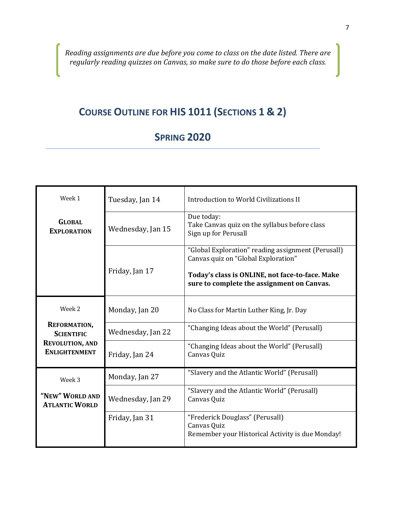*Reading assignments are due before you come to class on the date listed. There are regularly reading quizzes on Canvas, so make sure to do those before each class.*

# **COURSE OUTLINE FOR HIS 1011 (SECTIONS 1 & 2)**

# **SPRING 2020**

| Week 1                                                                                               | Tuesday, Jan 14                                                                                          | Introduction to World Civilizations II                                                                                                                                                     |  |
|------------------------------------------------------------------------------------------------------|----------------------------------------------------------------------------------------------------------|--------------------------------------------------------------------------------------------------------------------------------------------------------------------------------------------|--|
| <b>GLOBAL</b><br><b>EXPLORATION</b>                                                                  | Due today:<br>Take Canvas quiz on the syllabus before class<br>Wednesday, Jan 15<br>Sign up for Perusall |                                                                                                                                                                                            |  |
|                                                                                                      | Friday, Jan 17                                                                                           | "Global Exploration" reading assignment (Perusall)<br>Canvas quiz on "Global Exploration"<br>Today's class is ONLINE, not face-to-face. Make<br>sure to complete the assignment on Canvas. |  |
| Week 2<br><b>REFORMATION,</b><br><b>SCIENTIFIC</b><br><b>REVOLUTION, AND</b><br><b>ENLIGHTENMENT</b> | Monday, Jan 20                                                                                           | No Class for Martin Luther King, Jr. Day                                                                                                                                                   |  |
|                                                                                                      | Wednesday, Jan 22                                                                                        | "Changing Ideas about the World" (Perusall)                                                                                                                                                |  |
|                                                                                                      | Friday, Jan 24                                                                                           | "Changing Ideas about the World" (Perusall)<br>Canvas Quiz                                                                                                                                 |  |
| Week 3                                                                                               | Monday, Jan 27                                                                                           | "Slavery and the Atlantic World" (Perusall)                                                                                                                                                |  |
| "NEW" WORLD AND<br><b>ATLANTIC WORLD</b>                                                             | Wednesday, Jan 29                                                                                        | "Slavery and the Atlantic World" (Perusall)<br>Canvas Quiz                                                                                                                                 |  |
|                                                                                                      | Friday, Jan 31                                                                                           | "Frederick Douglass" (Perusall)<br>Canvas Quiz<br>Remember your Historical Activity is due Monday!                                                                                         |  |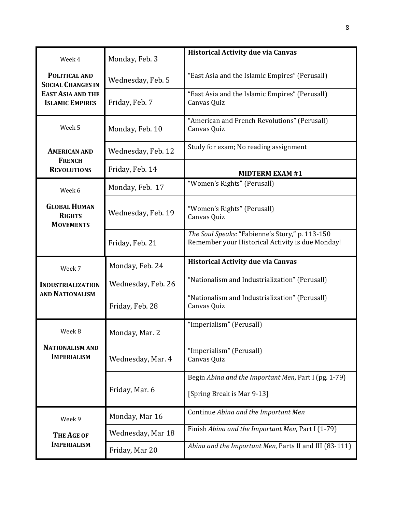| Week 4                                                                                          | Monday, Feb. 3     | <b>Historical Activity due via Canvas</b>                                                           |
|-------------------------------------------------------------------------------------------------|--------------------|-----------------------------------------------------------------------------------------------------|
| POLITICAL AND<br><b>SOCIAL CHANGES IN</b><br><b>EAST ASIA AND THE</b><br><b>ISLAMIC EMPIRES</b> | Wednesday, Feb. 5  | "East Asia and the Islamic Empires" (Perusall)                                                      |
|                                                                                                 | Friday, Feb. 7     | "East Asia and the Islamic Empires" (Perusall)<br>Canvas Quiz                                       |
| Week 5                                                                                          | Monday, Feb. 10    | "American and French Revolutions" (Perusall)<br>Canvas Quiz                                         |
| <b>AMERICAN AND</b><br><b>FRENCH</b><br><b>REVOLUTIONS</b>                                      | Wednesday, Feb. 12 | Study for exam; No reading assignment                                                               |
|                                                                                                 | Friday, Feb. 14    | <b>MIDTERM EXAM #1</b>                                                                              |
| Week 6                                                                                          | Monday, Feb. 17    | "Women's Rights" (Perusall)                                                                         |
| <b>GLOBAL HUMAN</b><br><b>RIGHTS</b><br><b>MOVEMENTS</b>                                        | Wednesday, Feb. 19 | "Women's Rights" (Perusall)<br>Canvas Quiz                                                          |
|                                                                                                 | Friday, Feb. 21    | The Soul Speaks: "Fabienne's Story," p. 113-150<br>Remember your Historical Activity is due Monday! |
|                                                                                                 |                    |                                                                                                     |
| Week 7                                                                                          | Monday, Feb. 24    | <b>Historical Activity due via Canvas</b>                                                           |
| <b>INDUSTRIALIZATION</b>                                                                        | Wednesday, Feb. 26 | "Nationalism and Industrialization" (Perusall)                                                      |
| <b>AND NATIONALISM</b>                                                                          | Friday, Feb. 28    | "Nationalism and Industrialization" (Perusall)<br>Canvas Quiz                                       |
| Week 8                                                                                          | Monday, Mar. 2     | "Imperialism" (Perusall)                                                                            |
| <b>NATIONALISM AND</b><br><b>IMPERIALISM</b>                                                    | Wednesday, Mar. 4  | "Imperialism" (Perusall)<br>Canvas Quiz                                                             |
|                                                                                                 | Friday, Mar. 6     | Begin Abina and the Important Men, Part I (pg. 1-79)<br>[Spring Break is Mar 9-13]                  |
| Week 9                                                                                          | Monday, Mar 16     | Continue Abina and the Important Men                                                                |
| <b>THE AGE OF</b><br><b>IMPERIALISM</b>                                                         | Wednesday, Mar 18  | Finish Abina and the Important Men, Part I (1-79)                                                   |